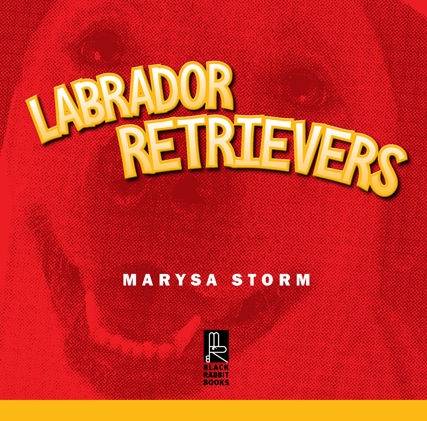

### MARYSA STORM

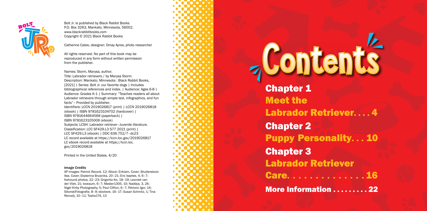- 
- Labrador Retriever. . . . 4
	-
- Puppy Personality. . . 10
- Labrador Retriever
- Care. . . . . . . . . . . . . .
- More Information . . . . . . . . 22

Chapter 1 Meet the Chapter 2 Chapter 3

# **Contents**



Bolt Jr. is published by Black Rabbit Books P.O. Box 3263, Mankato, Minnesota, 56002. www.blackrabbitbooks.com Copyright © 2021 Black Rabbit Books

Catherine Cates, designer; Omay Ayres, photo researcher

All rights reserved. No part of this book may be reproduced in any form without written permission from the publisher.

Names: Storm, Marysa, author.

Title: Labrador retrievers / by Marysa Storm. Description: Mankato, Minnesota : Black Rabbit Books, [2021] | Series: Bolt Jr. our favorite dogs | Includes bibliographical references and index. | Audience: Ages 6-8 | Audience: Grades K-1 | Summary: "Teaches readers all about Labrador retrievers through simple text, infographics, and fun facts"– Provided by publisher. Identifiers: LCCN 2019026817 (print) | LCCN 2019026818 (ebook) | ISBN 9781623104702 (hardcover) | ISBN 9781644664568 (paperback) | ISBN 9781623105006 (ebook) Subjects: LCSH: Labrador retriever–Juvenile literature. Classification: LCC SF429.L3 S77 2021 (print) | LCC SF429.L3 (ebook) | DDC 636.752/7–dc23 LC record available at https://lccn.loc.gov/2019026817 LC ebook record available at https://lccn.loc. gov/2019026818

Printed in the United States. 4/20

#### Image Credits

AP Images: Patrick Record, 12; iStock: Eriklam, Cover; Shutterstock: Ase, Cover; Ekaterina Brusnika, 20–21; Eric Isselee, 4, 6–7; foxhound photos, 22–23; Grigorita Ko, 18–19; Leoniek van der Vliet, 21; loveaum, 6–7; Master1305, 10; Naddya, 3, 24; Nigel Kirby Photography, 5; Paul Clifton, 6–7; Petrovic Igor, 14; SikorskiFotografie, 8–9; stocksre, 16–17; Susan Schmitz, 1; Tina Rencelj, 10–11; Tosha174, 13

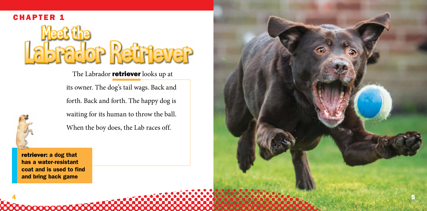retriever: a dog that has a water-resistant coat and is used to find and bring back game

**00000000000** 

its owner. The dog's tail wags. Back and forth. Back and forth. The happy dog is waiting for its human to throw the ball. When the boy does, the Lab races off.





The Labrador **retriever** looks up at

4



#### CHAPTER 1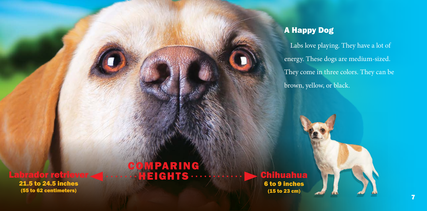#### Labrador retriever

21.5 to 24.5 inches (55 to 62 centimeters)

## MPARING

Chihuahua

6 to 9 inches (15 to 23 cm)

#### A Happy Dog

Labs love playing. They have a lot of energy. These dogs are medium-sized. They come in three colors. They can be brown, yellow, or black.